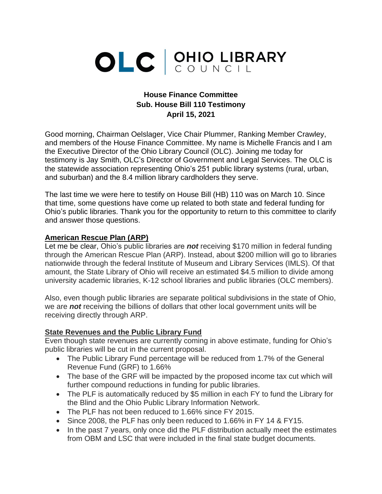## OLC CUNCIL

## **House Finance Committee Sub. House Bill 110 Testimony April 15, 2021**

Good morning, Chairman Oelslager, Vice Chair Plummer, Ranking Member Crawley, and members of the House Finance Committee. My name is Michelle Francis and I am the Executive Director of the Ohio Library Council (OLC). Joining me today for testimony is Jay Smith, OLC's Director of Government and Legal Services. The OLC is the statewide association representing Ohio's 251 public library systems (rural, urban, and suburban) and the 8.4 million library cardholders they serve.

The last time we were here to testify on House Bill (HB) 110 was on March 10. Since that time, some questions have come up related to both state and federal funding for Ohio's public libraries. Thank you for the opportunity to return to this committee to clarify and answer those questions.

## **American Rescue Plan (ARP)**

Let me be clear, Ohio's public libraries are *not* receiving \$170 million in federal funding through the American Rescue Plan (ARP). Instead, about \$200 million will go to libraries nationwide through the federal Institute of Museum and Library Services (IMLS). Of that amount, the State Library of Ohio will receive an estimated \$4.5 million to divide among university academic libraries, K-12 school libraries and public libraries (OLC members).

Also, even though public libraries are separate political subdivisions in the state of Ohio, we are *not* receiving the billions of dollars that other local government units will be receiving directly through ARP.

## **State Revenues and the Public Library Fund**

Even though state revenues are currently coming in above estimate, funding for Ohio's public libraries will be cut in the current proposal.

- The Public Library Fund percentage will be reduced from 1.7% of the General Revenue Fund (GRF) to 1.66%
- The base of the GRF will be impacted by the proposed income tax cut which will further compound reductions in funding for public libraries.
- The PLF is automatically reduced by \$5 million in each FY to fund the Library for the Blind and the Ohio Public Library Information Network.
- The PLF has not been reduced to 1.66% since FY 2015.
- Since 2008, the PLF has only been reduced to 1.66% in FY 14 & FY15.
- In the past 7 years, only once did the PLF distribution actually meet the estimates from OBM and LSC that were included in the final state budget documents.